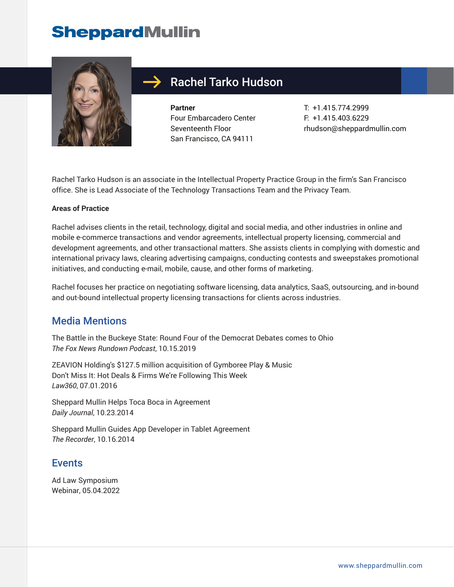# **SheppardMullin**



### Rachel Tarko Hudson

**Partner** Four Embarcadero Center Seventeenth Floor San Francisco, CA 94111

T: +1.415.774.2999 F: +1.415.403.6229 rhudson@sheppardmullin.com

Rachel Tarko Hudson is an associate in the Intellectual Property Practice Group in the firm's San Francisco office. She is Lead Associate of the Technology Transactions Team and the Privacy Team.

#### **Areas of Practice**

Rachel advises clients in the retail, technology, digital and social media, and other industries in online and mobile e-commerce transactions and vendor agreements, intellectual property licensing, commercial and development agreements, and other transactional matters. She assists clients in complying with domestic and international privacy laws, clearing advertising campaigns, conducting contests and sweepstakes promotional initiatives, and conducting e-mail, mobile, cause, and other forms of marketing.

Rachel focuses her practice on negotiating software licensing, data analytics, SaaS, outsourcing, and in-bound and out-bound intellectual property licensing transactions for clients across industries.

#### Media Mentions

The Battle in the Buckeye State: Round Four of the Democrat Debates comes to Ohio *The Fox News Rundown Podcast*, 10.15.2019

ZEAVION Holding's \$127.5 million acquisition of Gymboree Play & Music Don't Miss It: Hot Deals & Firms We're Following This Week *Law360*, 07.01.2016

Sheppard Mullin Helps Toca Boca in Agreement *Daily Journal*, 10.23.2014

Sheppard Mullin Guides App Developer in Tablet Agreement *The Recorder*, 10.16.2014

#### Events

Ad Law Symposium Webinar, 05.04.2022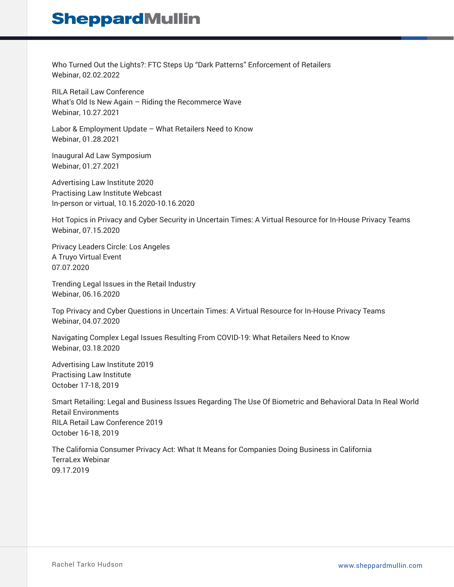### **SheppardMullin**

Who Turned Out the Lights?: FTC Steps Up "Dark Patterns" Enforcement of Retailers Webinar, 02.02.2022

RILA Retail Law Conference What's Old Is New Again – Riding the Recommerce Wave Webinar, 10.27.2021

Labor & Employment Update – What Retailers Need to Know Webinar, 01.28.2021

Inaugural Ad Law Symposium Webinar, 01.27.2021

Advertising Law Institute 2020 Practising Law Institute Webcast In-person or virtual, 10.15.2020-10.16.2020

Hot Topics in Privacy and Cyber Security in Uncertain Times: A Virtual Resource for In-House Privacy Teams Webinar, 07.15.2020

Privacy Leaders Circle: Los Angeles A Truyo Virtual Event 07.07.2020

Trending Legal Issues in the Retail Industry Webinar, 06.16.2020

Top Privacy and Cyber Questions in Uncertain Times: A Virtual Resource for In-House Privacy Teams Webinar, 04.07.2020

Navigating Complex Legal Issues Resulting From COVID-19: What Retailers Need to Know Webinar, 03.18.2020

Advertising Law Institute 2019 Practising Law Institute October 17-18, 2019

Smart Retailing: Legal and Business Issues Regarding The Use Of Biometric and Behavioral Data In Real World Retail Environments RILA Retail Law Conference 2019 October 16-18, 2019

The California Consumer Privacy Act: What It Means for Companies Doing Business in California TerraLex Webinar 09.17.2019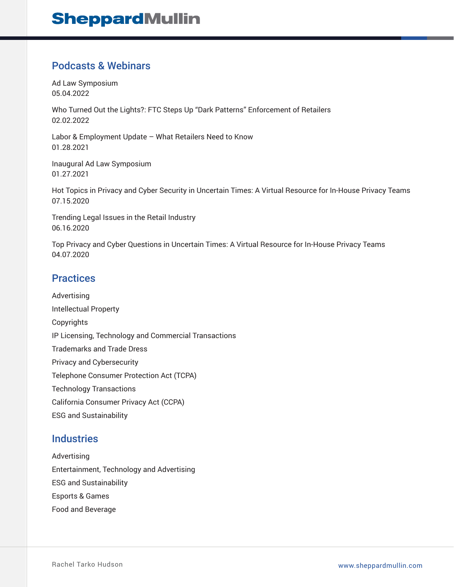#### Podcasts & Webinars

Ad Law Symposium 05.04.2022

Who Turned Out the Lights?: FTC Steps Up "Dark Patterns" Enforcement of Retailers 02.02.2022

Labor & Employment Update – What Retailers Need to Know 01.28.2021

Inaugural Ad Law Symposium 01.27.2021

Hot Topics in Privacy and Cyber Security in Uncertain Times: A Virtual Resource for In-House Privacy Teams 07.15.2020

Trending Legal Issues in the Retail Industry 06.16.2020

Top Privacy and Cyber Questions in Uncertain Times: A Virtual Resource for In-House Privacy Teams 04.07.2020

#### **Practices**

Advertising Intellectual Property Copyrights IP Licensing, Technology and Commercial Transactions Trademarks and Trade Dress Privacy and Cybersecurity Telephone Consumer Protection Act (TCPA) Technology Transactions California Consumer Privacy Act (CCPA) ESG and Sustainability

#### **Industries**

Advertising Entertainment, Technology and Advertising ESG and Sustainability Esports & Games Food and Beverage